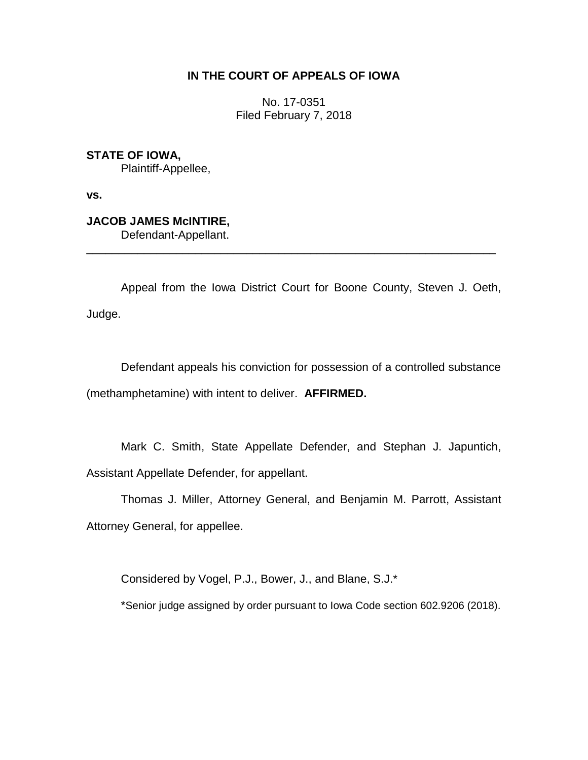# **IN THE COURT OF APPEALS OF IOWA**

No. 17-0351 Filed February 7, 2018

**STATE OF IOWA,** Plaintiff-Appellee,

**vs.**

**JACOB JAMES McINTIRE,** Defendant-Appellant.

Appeal from the Iowa District Court for Boone County, Steven J. Oeth, Judge.

\_\_\_\_\_\_\_\_\_\_\_\_\_\_\_\_\_\_\_\_\_\_\_\_\_\_\_\_\_\_\_\_\_\_\_\_\_\_\_\_\_\_\_\_\_\_\_\_\_\_\_\_\_\_\_\_\_\_\_\_\_\_\_\_

Defendant appeals his conviction for possession of a controlled substance (methamphetamine) with intent to deliver. **AFFIRMED.**

Mark C. Smith, State Appellate Defender, and Stephan J. Japuntich, Assistant Appellate Defender, for appellant.

Thomas J. Miller, Attorney General, and Benjamin M. Parrott, Assistant Attorney General, for appellee.

Considered by Vogel, P.J., Bower, J., and Blane, S.J.\*

\*Senior judge assigned by order pursuant to Iowa Code section 602.9206 (2018).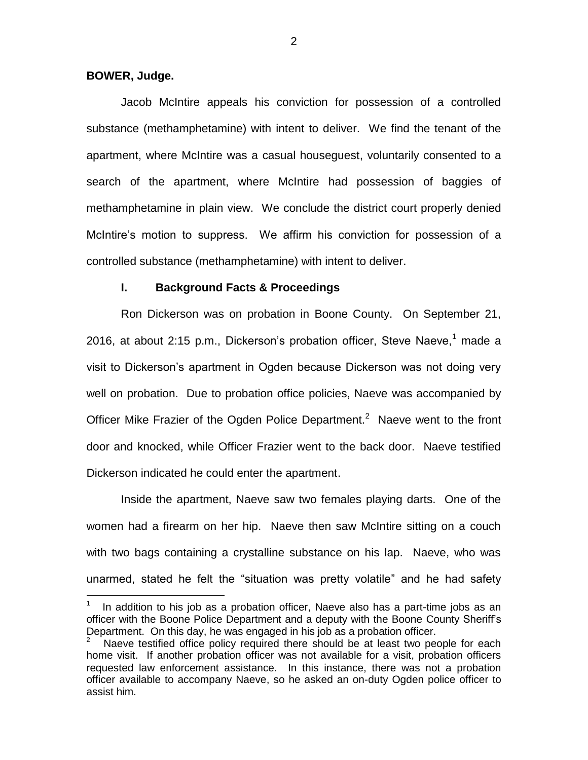#### **BOWER, Judge.**

 $\overline{a}$ 

Jacob McIntire appeals his conviction for possession of a controlled substance (methamphetamine) with intent to deliver. We find the tenant of the apartment, where McIntire was a casual houseguest, voluntarily consented to a search of the apartment, where McIntire had possession of baggies of methamphetamine in plain view. We conclude the district court properly denied McIntire's motion to suppress. We affirm his conviction for possession of a controlled substance (methamphetamine) with intent to deliver.

#### **I. Background Facts & Proceedings**

Ron Dickerson was on probation in Boone County. On September 21, 2016, at about 2:15 p.m., Dickerson's probation officer, Steve Naeve,  $1$  made a visit to Dickerson's apartment in Ogden because Dickerson was not doing very well on probation. Due to probation office policies, Naeve was accompanied by Officer Mike Frazier of the Ogden Police Department.<sup>2</sup> Naeve went to the front door and knocked, while Officer Frazier went to the back door. Naeve testified Dickerson indicated he could enter the apartment.

Inside the apartment, Naeve saw two females playing darts. One of the women had a firearm on her hip. Naeve then saw McIntire sitting on a couch with two bags containing a crystalline substance on his lap. Naeve, who was unarmed, stated he felt the "situation was pretty volatile" and he had safety

<sup>1</sup> In addition to his job as a probation officer, Naeve also has a part-time jobs as an officer with the Boone Police Department and a deputy with the Boone County Sheriff's Department. On this day, he was engaged in his job as a probation officer.

<sup>2</sup> Naeve testified office policy required there should be at least two people for each home visit. If another probation officer was not available for a visit, probation officers requested law enforcement assistance. In this instance, there was not a probation officer available to accompany Naeve, so he asked an on-duty Ogden police officer to assist him.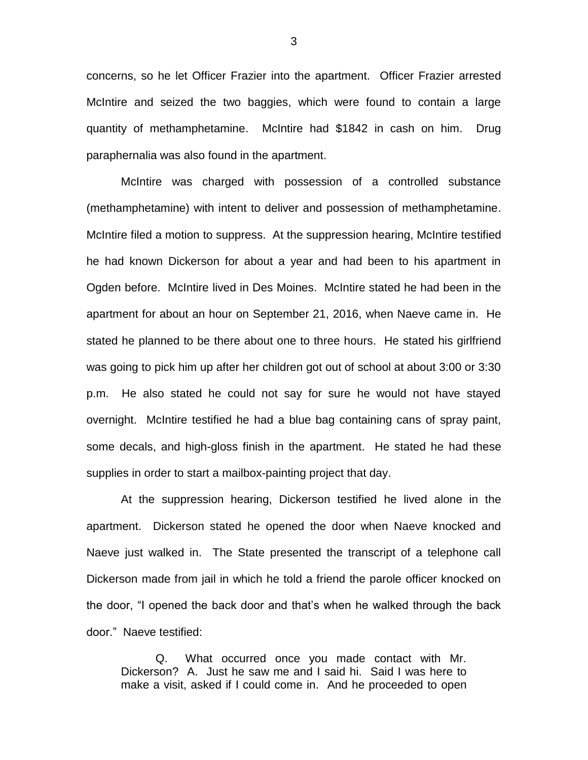concerns, so he let Officer Frazier into the apartment. Officer Frazier arrested McIntire and seized the two baggies, which were found to contain a large quantity of methamphetamine. McIntire had \$1842 in cash on him. Drug paraphernalia was also found in the apartment.

McIntire was charged with possession of a controlled substance (methamphetamine) with intent to deliver and possession of methamphetamine. McIntire filed a motion to suppress. At the suppression hearing, McIntire testified he had known Dickerson for about a year and had been to his apartment in Ogden before. McIntire lived in Des Moines. McIntire stated he had been in the apartment for about an hour on September 21, 2016, when Naeve came in. He stated he planned to be there about one to three hours. He stated his girlfriend was going to pick him up after her children got out of school at about 3:00 or 3:30 p.m. He also stated he could not say for sure he would not have stayed overnight. McIntire testified he had a blue bag containing cans of spray paint, some decals, and high-gloss finish in the apartment. He stated he had these supplies in order to start a mailbox-painting project that day.

At the suppression hearing, Dickerson testified he lived alone in the apartment. Dickerson stated he opened the door when Naeve knocked and Naeve just walked in. The State presented the transcript of a telephone call Dickerson made from jail in which he told a friend the parole officer knocked on the door, "I opened the back door and that's when he walked through the back door." Naeve testified:

Q. What occurred once you made contact with Mr. Dickerson? A. Just he saw me and I said hi. Said I was here to make a visit, asked if I could come in. And he proceeded to open

3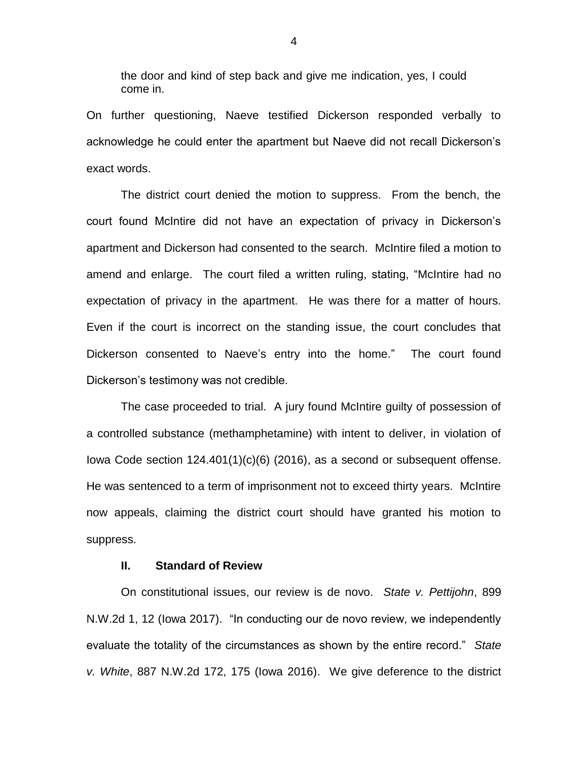the door and kind of step back and give me indication, yes, I could come in.

On further questioning, Naeve testified Dickerson responded verbally to acknowledge he could enter the apartment but Naeve did not recall Dickerson's exact words.

The district court denied the motion to suppress. From the bench, the court found McIntire did not have an expectation of privacy in Dickerson's apartment and Dickerson had consented to the search. McIntire filed a motion to amend and enlarge. The court filed a written ruling, stating, "McIntire had no expectation of privacy in the apartment. He was there for a matter of hours. Even if the court is incorrect on the standing issue, the court concludes that Dickerson consented to Naeve's entry into the home." The court found Dickerson's testimony was not credible.

The case proceeded to trial. A jury found McIntire guilty of possession of a controlled substance (methamphetamine) with intent to deliver, in violation of Iowa Code section 124.401(1)(c)(6) (2016), as a second or subsequent offense. He was sentenced to a term of imprisonment not to exceed thirty years. McIntire now appeals, claiming the district court should have granted his motion to suppress.

### **II. Standard of Review**

On constitutional issues, our review is de novo. *State v. Pettijohn*, 899 N.W.2d 1, 12 (Iowa 2017). "In conducting our de novo review, we independently evaluate the totality of the circumstances as shown by the entire record." *State v. White*, 887 N.W.2d 172, 175 (Iowa 2016). We give deference to the district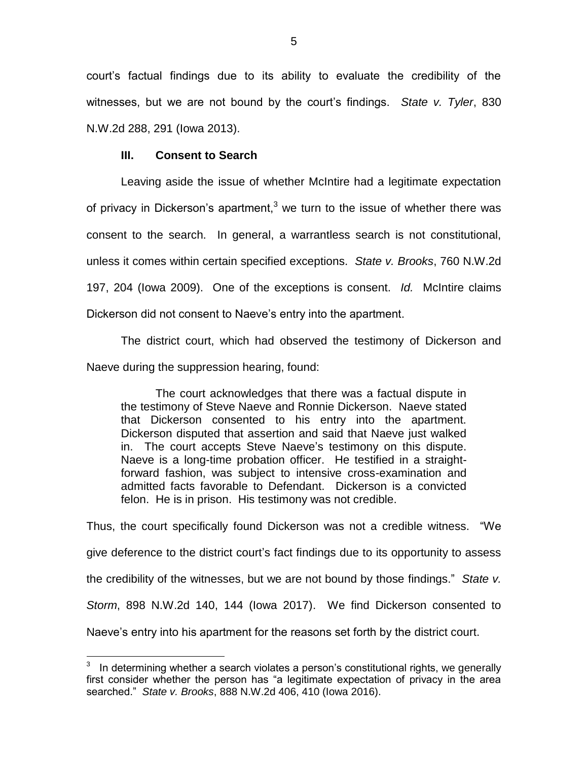court's factual findings due to its ability to evaluate the credibility of the witnesses, but we are not bound by the court's findings. *State v. Tyler*, 830 N.W.2d 288, 291 (Iowa 2013).

## **III. Consent to Search**

 $\overline{a}$ 

Leaving aside the issue of whether McIntire had a legitimate expectation of privacy in Dickerson's apartment,<sup>3</sup> we turn to the issue of whether there was consent to the search. In general, a warrantless search is not constitutional, unless it comes within certain specified exceptions. *State v. Brooks*, 760 N.W.2d 197, 204 (Iowa 2009). One of the exceptions is consent. *Id.* McIntire claims Dickerson did not consent to Naeve's entry into the apartment.

The district court, which had observed the testimony of Dickerson and Naeve during the suppression hearing, found:

The court acknowledges that there was a factual dispute in the testimony of Steve Naeve and Ronnie Dickerson. Naeve stated that Dickerson consented to his entry into the apartment. Dickerson disputed that assertion and said that Naeve just walked in. The court accepts Steve Naeve's testimony on this dispute. Naeve is a long-time probation officer. He testified in a straightforward fashion, was subject to intensive cross-examination and admitted facts favorable to Defendant. Dickerson is a convicted felon. He is in prison. His testimony was not credible.

Thus, the court specifically found Dickerson was not a credible witness. "We give deference to the district court's fact findings due to its opportunity to assess the credibility of the witnesses, but we are not bound by those findings." *State v. Storm*, 898 N.W.2d 140, 144 (Iowa 2017). We find Dickerson consented to Naeve's entry into his apartment for the reasons set forth by the district court.

<sup>3</sup> In determining whether a search violates a person's constitutional rights, we generally first consider whether the person has "a legitimate expectation of privacy in the area searched." *State v. Brooks*, 888 N.W.2d 406, 410 (Iowa 2016).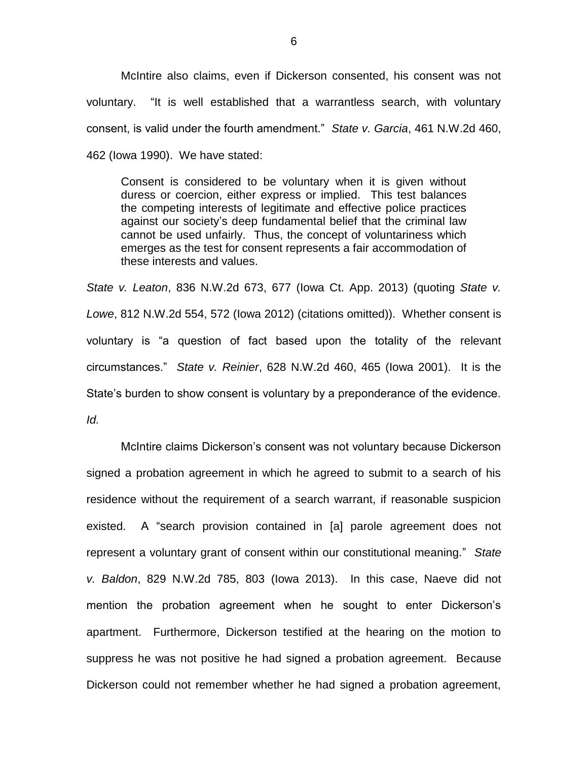McIntire also claims, even if Dickerson consented, his consent was not voluntary. "It is well established that a warrantless search, with voluntary consent, is valid under the fourth amendment." *State v. Garcia*, 461 N.W.2d 460, 462 (Iowa 1990). We have stated:

Consent is considered to be voluntary when it is given without duress or coercion, either express or implied. This test balances the competing interests of legitimate and effective police practices against our society's deep fundamental belief that the criminal law cannot be used unfairly. Thus, the concept of voluntariness which emerges as the test for consent represents a fair accommodation of these interests and values.

*State v. Leaton*, 836 N.W.2d 673, 677 (Iowa Ct. App. 2013) (quoting *State v. Lowe*, 812 N.W.2d 554, 572 (Iowa 2012) (citations omitted)). Whether consent is voluntary is "a question of fact based upon the totality of the relevant circumstances." *State v. Reinier*, 628 N.W.2d 460, 465 (Iowa 2001). It is the State's burden to show consent is voluntary by a preponderance of the evidence. *Id.*

McIntire claims Dickerson's consent was not voluntary because Dickerson signed a probation agreement in which he agreed to submit to a search of his residence without the requirement of a search warrant, if reasonable suspicion existed. A "search provision contained in [a] parole agreement does not represent a voluntary grant of consent within our constitutional meaning." *State v. Baldon*, 829 N.W.2d 785, 803 (Iowa 2013). In this case, Naeve did not mention the probation agreement when he sought to enter Dickerson's apartment. Furthermore, Dickerson testified at the hearing on the motion to suppress he was not positive he had signed a probation agreement. Because Dickerson could not remember whether he had signed a probation agreement,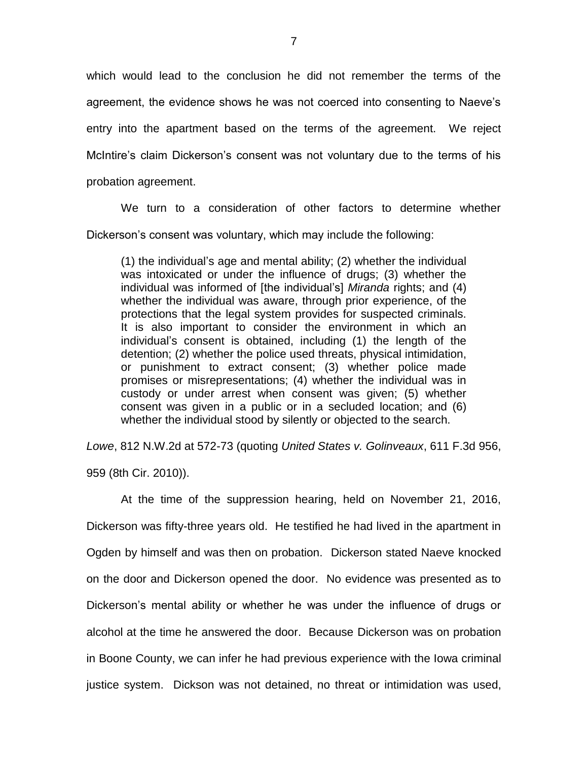which would lead to the conclusion he did not remember the terms of the agreement, the evidence shows he was not coerced into consenting to Naeve's entry into the apartment based on the terms of the agreement. We reject McIntire's claim Dickerson's consent was not voluntary due to the terms of his probation agreement.

We turn to a consideration of other factors to determine whether Dickerson's consent was voluntary, which may include the following:

(1) the individual's age and mental ability; (2) whether the individual was intoxicated or under the influence of drugs; (3) whether the individual was informed of [the individual's] *Miranda* rights; and (4) whether the individual was aware, through prior experience, of the protections that the legal system provides for suspected criminals. It is also important to consider the environment in which an individual's consent is obtained, including (1) the length of the detention; (2) whether the police used threats, physical intimidation, or punishment to extract consent; (3) whether police made promises or misrepresentations; (4) whether the individual was in custody or under arrest when consent was given; (5) whether consent was given in a public or in a secluded location; and (6) whether the individual stood by silently or objected to the search.

*Lowe*, 812 N.W.2d at 572-73 (quoting *United States v. Golinveaux*, 611 F.3d 956, 959 (8th Cir. 2010)).

At the time of the suppression hearing, held on November 21, 2016, Dickerson was fifty-three years old. He testified he had lived in the apartment in Ogden by himself and was then on probation. Dickerson stated Naeve knocked on the door and Dickerson opened the door. No evidence was presented as to Dickerson's mental ability or whether he was under the influence of drugs or alcohol at the time he answered the door. Because Dickerson was on probation in Boone County, we can infer he had previous experience with the Iowa criminal justice system. Dickson was not detained, no threat or intimidation was used,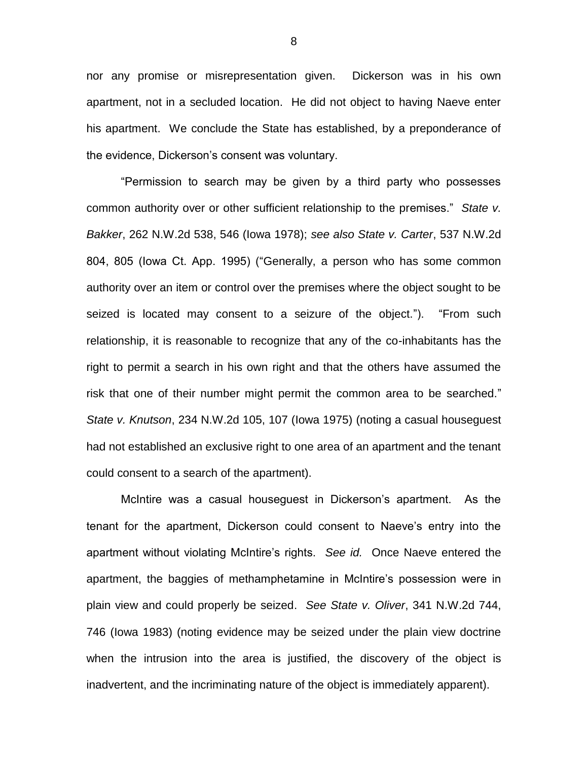nor any promise or misrepresentation given. Dickerson was in his own apartment, not in a secluded location. He did not object to having Naeve enter his apartment. We conclude the State has established, by a preponderance of the evidence, Dickerson's consent was voluntary.

"Permission to search may be given by a third party who possesses common authority over or other sufficient relationship to the premises." *State v. Bakker*, 262 N.W.2d 538, 546 (Iowa 1978); *see also State v. Carter*, 537 N.W.2d 804, 805 (Iowa Ct. App. 1995) ("Generally, a person who has some common authority over an item or control over the premises where the object sought to be seized is located may consent to a seizure of the object."). "From such relationship, it is reasonable to recognize that any of the co-inhabitants has the right to permit a search in his own right and that the others have assumed the risk that one of their number might permit the common area to be searched." *State v. Knutson*, 234 N.W.2d 105, 107 (Iowa 1975) (noting a casual houseguest had not established an exclusive right to one area of an apartment and the tenant could consent to a search of the apartment).

McIntire was a casual houseguest in Dickerson's apartment. As the tenant for the apartment, Dickerson could consent to Naeve's entry into the apartment without violating McIntire's rights. *See id.* Once Naeve entered the apartment, the baggies of methamphetamine in McIntire's possession were in plain view and could properly be seized. *See State v. Oliver*, 341 N.W.2d 744, 746 (Iowa 1983) (noting evidence may be seized under the plain view doctrine when the intrusion into the area is justified, the discovery of the object is inadvertent, and the incriminating nature of the object is immediately apparent).

8